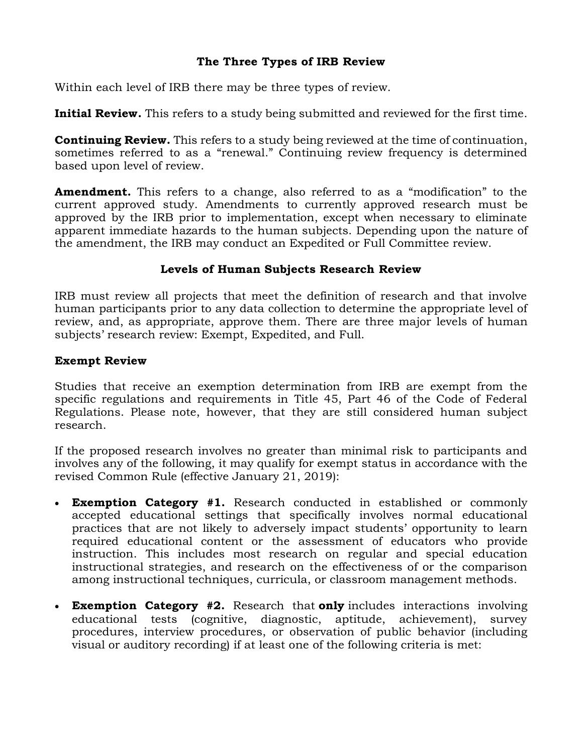# **The Three Types of IRB Review**

Within each level of IRB there may be three types of review.

**Initial Review.** This refers to a study being submitted and reviewed for the first time.

**Continuing Review.** This refers to a study being reviewed at the time of continuation, sometimes referred to as a "renewal." Continuing review frequency is determined based upon level of review.

**Amendment.** This refers to a change, also referred to as a "modification" to the current approved study. Amendments to currently approved research must be approved by the IRB prior to implementation, except when necessary to eliminate apparent immediate hazards to the human subjects. Depending upon the nature of the amendment, the IRB may conduct an Expedited or Full Committee review.

### **Levels of Human Subjects Research Review**

IRB must review all projects that meet the definition of research and that involve human participants prior to any data collection to determine the appropriate level of review, and, as appropriate, approve them. There are three major levels of human subjects' research review: Exempt, Expedited, and Full.

#### **Exempt Review**

Studies that receive an exemption determination from IRB are exempt from the specific regulations and requirements in Title 45, Part 46 of the Code of Federal Regulations. Please note, however, that they are still considered human subject research.

If the proposed research involves no greater than minimal risk to participants and involves any of the following, it may qualify for exempt status in accordance with the revised Common Rule (effective January 21, 2019):

- **Exemption Category #1.** Research conducted in established or commonly accepted educational settings that specifically involves normal educational practices that are not likely to adversely impact students' opportunity to learn required educational content or the assessment of educators who provide instruction. This includes most research on regular and special education instructional strategies, and research on the effectiveness of or the comparison among instructional techniques, curricula, or classroom management methods.
- **Exemption Category #2.** Research that **only** includes interactions involving educational tests (cognitive, diagnostic, aptitude, achievement), survey procedures, interview procedures, or observation of public behavior (including visual or auditory recording) if at least one of the following criteria is met: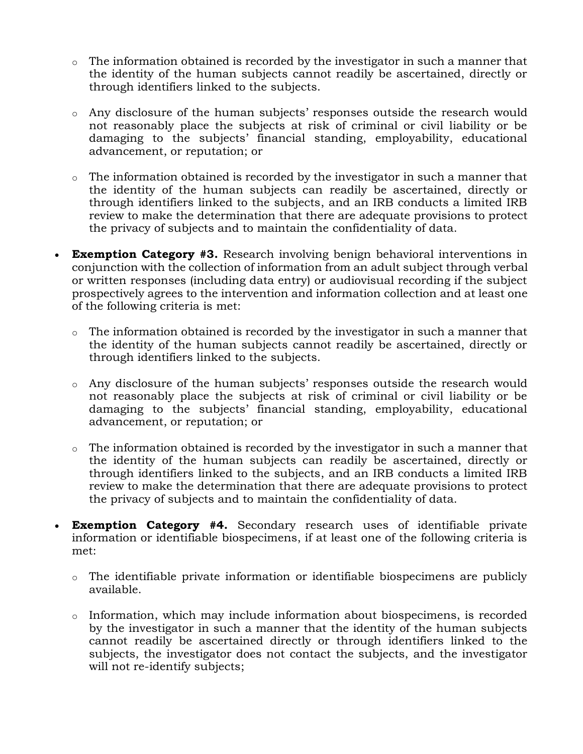- $\circ$  The information obtained is recorded by the investigator in such a manner that the identity of the human subjects cannot readily be ascertained, directly or through identifiers linked to the subjects.
- o Any disclosure of the human subjects' responses outside the research would not reasonably place the subjects at risk of criminal or civil liability or be damaging to the subjects' financial standing, employability, educational advancement, or reputation; or
- o The information obtained is recorded by the investigator in such a manner that the identity of the human subjects can readily be ascertained, directly or through identifiers linked to the subjects, and an IRB conducts a limited IRB review to make the determination that there are adequate provisions to protect the privacy of subjects and to maintain the confidentiality of data.
- **Exemption Category #3.** Research involving benign behavioral interventions in conjunction with the collection of information from an adult subject through verbal or written responses (including data entry) or audiovisual recording if the subject prospectively agrees to the intervention and information collection and at least one of the following criteria is met:
	- $\circ$  The information obtained is recorded by the investigator in such a manner that the identity of the human subjects cannot readily be ascertained, directly or through identifiers linked to the subjects.
	- o Any disclosure of the human subjects' responses outside the research would not reasonably place the subjects at risk of criminal or civil liability or be damaging to the subjects' financial standing, employability, educational advancement, or reputation; or
	- $\circ$  The information obtained is recorded by the investigator in such a manner that the identity of the human subjects can readily be ascertained, directly or through identifiers linked to the subjects, and an IRB conducts a limited IRB review to make the determination that there are adequate provisions to protect the privacy of subjects and to maintain the confidentiality of data.
- **Exemption Category #4.** Secondary research uses of identifiable private information or identifiable biospecimens, if at least one of the following criteria is met:
	- o The identifiable private information or identifiable biospecimens are publicly available.
	- o Information, which may include information about biospecimens, is recorded by the investigator in such a manner that the identity of the human subjects cannot readily be ascertained directly or through identifiers linked to the subjects, the investigator does not contact the subjects, and the investigator will not re-identify subjects;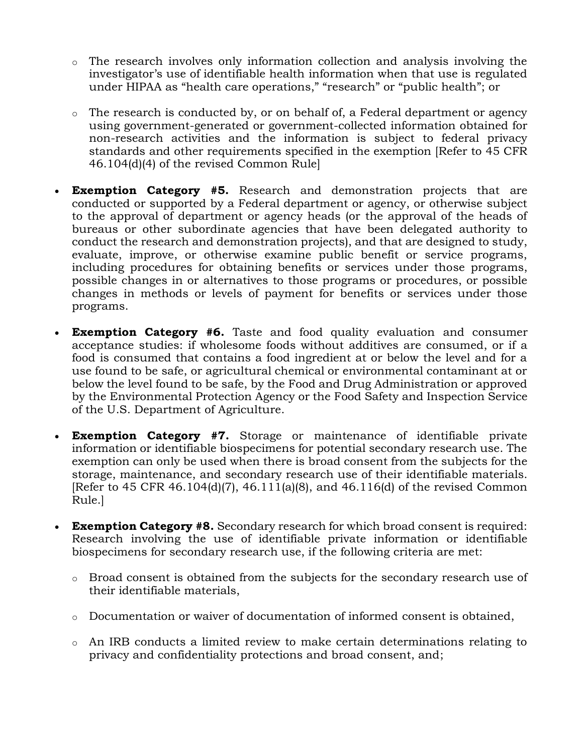- o The research involves only information collection and analysis involving the investigator's use of identifiable health information when that use is regulated under HIPAA as "health care operations," "research" or "public health"; or
- $\circ$  The research is conducted by, or on behalf of, a Federal department or agency using government-generated or government-collected information obtained for non-research activities and the information is subject to federal privacy standards and other requirements specified in the exemption [Refer to 45 CFR 46.104(d)(4) of the revised Common Rule]
- **Exemption Category #5.** Research and demonstration projects that are conducted or supported by a Federal department or agency, or otherwise subject to the approval of department or agency heads (or the approval of the heads of bureaus or other subordinate agencies that have been delegated authority to conduct the research and demonstration projects), and that are designed to study, evaluate, improve, or otherwise examine public benefit or service programs, including procedures for obtaining benefits or services under those programs, possible changes in or alternatives to those programs or procedures, or possible changes in methods or levels of payment for benefits or services under those programs.
- **Exemption Category #6.** Taste and food quality evaluation and consumer acceptance studies: if wholesome foods without additives are consumed, or if a food is consumed that contains a food ingredient at or below the level and for a use found to be safe, or agricultural chemical or environmental contaminant at or below the level found to be safe, by the Food and Drug Administration or approved by the Environmental Protection Agency or the Food Safety and Inspection Service of the U.S. Department of Agriculture.
- **Exemption Category #7.** Storage or maintenance of identifiable private information or identifiable biospecimens for potential secondary research use. The exemption can only be used when there is broad consent from the subjects for the storage, maintenance, and secondary research use of their identifiable materials. [Refer to 45 CFR 46.104(d)(7), 46.111(a)(8), and 46.116(d) of the revised Common Rule.]
- **Exemption Category #8.** Secondary research for which broad consent is required: Research involving the use of identifiable private information or identifiable biospecimens for secondary research use, if the following criteria are met:
	- o Broad consent is obtained from the subjects for the secondary research use of their identifiable materials,
	- o Documentation or waiver of documentation of informed consent is obtained,
	- o An IRB conducts a limited review to make certain determinations relating to privacy and confidentiality protections and broad consent, and;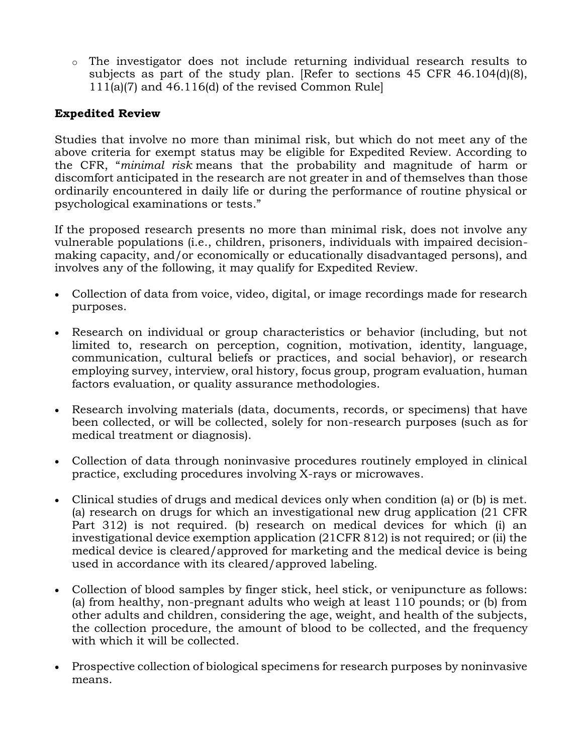o The investigator does not include returning individual research results to subjects as part of the study plan. [Refer to sections 45 CFR 46.104(d)(8), 111(a)(7) and 46.116(d) of the revised Common Rule]

# **Expedited Review**

Studies that involve no more than minimal risk, but which do not meet any of the above criteria for exempt status may be eligible for Expedited Review. According to the CFR, "*minimal risk* means that the probability and magnitude of harm or discomfort anticipated in the research are not greater in and of themselves than those ordinarily encountered in daily life or during the performance of routine physical or psychological examinations or tests."

If the proposed research presents no more than minimal risk, does not involve any vulnerable populations (i.e., children, prisoners, individuals with impaired decisionmaking capacity, and/or economically or educationally disadvantaged persons), and involves any of the following, it may qualify for Expedited Review.

- Collection of data from voice, video, digital, or image recordings made for research purposes.
- Research on individual or group characteristics or behavior (including, but not limited to, research on perception, cognition, motivation, identity, language, communication, cultural beliefs or practices, and social behavior), or research employing survey, interview, oral history, focus group, program evaluation, human factors evaluation, or quality assurance methodologies.
- Research involving materials (data, documents, records, or specimens) that have been collected, or will be collected, solely for non-research purposes (such as for medical treatment or diagnosis).
- Collection of data through noninvasive procedures routinely employed in clinical practice, excluding procedures involving X-rays or microwaves.
- Clinical studies of drugs and medical devices only when condition (a) or (b) is met. (a) research on drugs for which an investigational new drug application (21 CFR Part 312) is not required. (b) research on medical devices for which (i) an investigational device exemption application (21CFR 812) is not required; or (ii) the medical device is cleared/approved for marketing and the medical device is being used in accordance with its cleared/approved labeling.
- Collection of blood samples by finger stick, heel stick, or venipuncture as follows: (a) from healthy, non-pregnant adults who weigh at least 110 pounds; or (b) from other adults and children, considering the age, weight, and health of the subjects, the collection procedure, the amount of blood to be collected, and the frequency with which it will be collected.
- Prospective collection of biological specimens for research purposes by noninvasive means.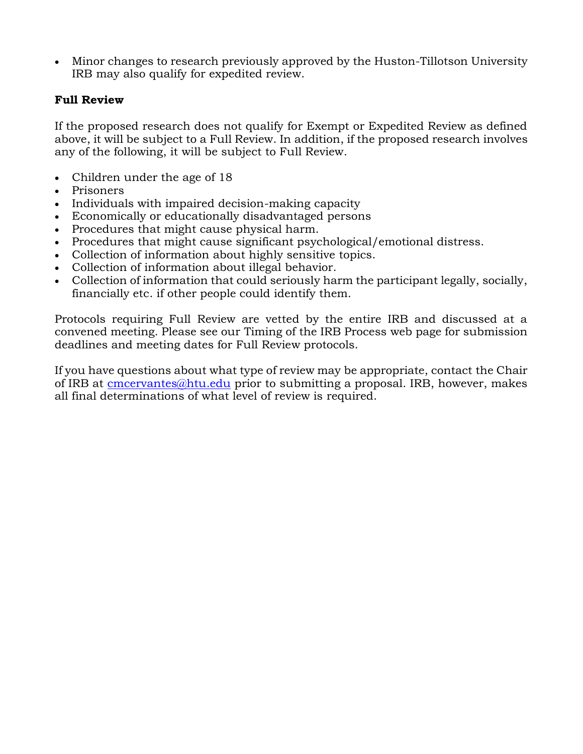• Minor changes to research previously approved by the Huston-Tillotson University IRB may also qualify for expedited review.

# **Full Review**

If the proposed research does not qualify for Exempt or Expedited Review as defined above, it will be subject to a Full Review. In addition, if the proposed research involves any of the following, it will be subject to Full Review.

- Children under the age of 18
- Prisoners
- Individuals with impaired decision-making capacity
- Economically or educationally disadvantaged persons
- Procedures that might cause physical harm.
- Procedures that might cause significant psychological/emotional distress.
- Collection of information about highly sensitive topics.
- Collection of information about illegal behavior.
- Collection of information that could seriously harm the participant legally, socially, financially etc. if other people could identify them.

Protocols requiring Full Review are vetted by the entire IRB and discussed at a convened meeting. Please see our [Timing of the IRB Process](https://irb.lafayette.edu/timing-of-the-irb-review-process/) web page for submission deadlines and meeting dates for Full Review protocols.

If you have questions about what type of review may be appropriate, contact the Chair of IRB at [cmcervantes@htu.edu](mailto:cmcervantes@htu.edu) prior to submitting a proposal. IRB, however, makes all final determinations of what level of review is required.